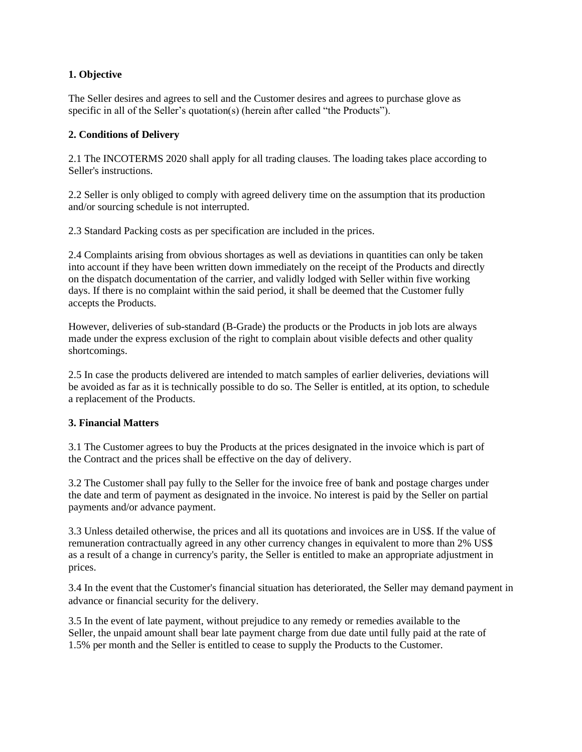## **1. Objective**

The Seller desires and agrees to sell and the Customer desires and agrees to purchase glove as specific in all of the Seller's quotation(s) (herein after called "the Products").

### **2. Conditions of Delivery**

2.1 The INCOTERMS 2020 shall apply for all trading clauses. The loading takes place according to Seller's instructions.

2.2 Seller is only obliged to comply with agreed delivery time on the assumption that its production and/or sourcing schedule is not interrupted.

2.3 Standard Packing costs as per specification are included in the prices.

2.4 Complaints arising from obvious shortages as well as deviations in quantities can only be taken into account if they have been written down immediately on the receipt of the Products and directly on the dispatch documentation of the carrier, and validly lodged with Seller within five working days. If there is no complaint within the said period, it shall be deemed that the Customer fully accepts the Products.

However, deliveries of sub-standard (B-Grade) the products or the Products in job lots are always made under the express exclusion of the right to complain about visible defects and other quality shortcomings.

2.5 In case the products delivered are intended to match samples of earlier deliveries, deviations will be avoided as far as it is technically possible to do so. The Seller is entitled, at its option, to schedule a replacement of the Products.

### **3. Financial Matters**

3.1 The Customer agrees to buy the Products at the prices designated in the invoice which is part of the Contract and the prices shall be effective on the day of delivery.

3.2 The Customer shall pay fully to the Seller for the invoice free of bank and postage charges under the date and term of payment as designated in the invoice. No interest is paid by the Seller on partial payments and/or advance payment.

3.3 Unless detailed otherwise, the prices and all its quotations and invoices are in US\$. If the value of remuneration contractually agreed in any other currency changes in equivalent to more than 2% US\$ as a result of a change in currency's parity, the Seller is entitled to make an appropriate adjustment in prices.

3.4 In the event that the Customer's financial situation has deteriorated, the Seller may demand payment in advance or financial security for the delivery.

3.5 In the event of late payment, without prejudice to any remedy or remedies available to the Seller, the unpaid amount shall bear late payment charge from due date until fully paid at the rate of 1.5% per month and the Seller is entitled to cease to supply the Products to the Customer.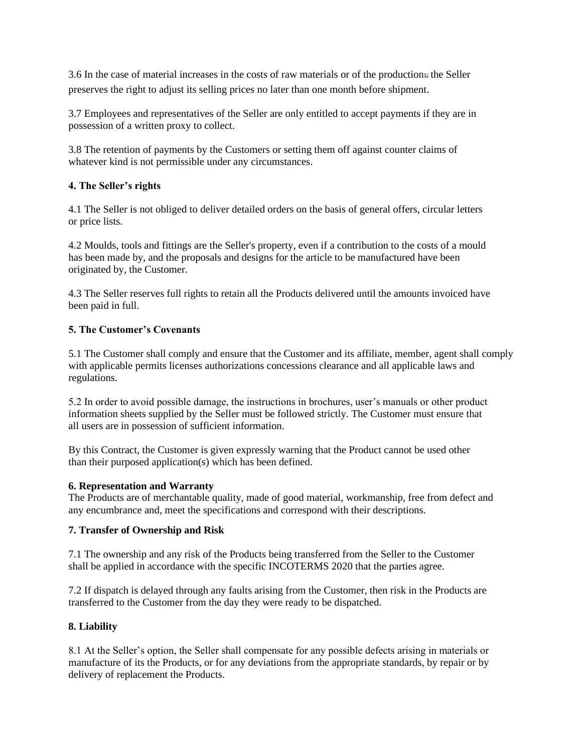3.6 In the case of material increases in the costs of raw materials or of the productionม the Seller preserves the right to adjust its selling prices no later than one month before shipment.

3.7 Employees and representatives of the Seller are only entitled to accept payments if they are in possession of a written proxy to collect.

3.8 The retention of payments by the Customers or setting them off against counter claims of whatever kind is not permissible under any circumstances.

# **4. The Seller's rights**

4.1 The Seller is not obliged to deliver detailed orders on the basis of general offers, circular letters or price lists.

4.2 Moulds, tools and fittings are the Seller's property, even if a contribution to the costs of a mould has been made by, and the proposals and designs for the article to be manufactured have been originated by, the Customer.

4.3 The Seller reserves full rights to retain all the Products delivered until the amounts invoiced have been paid in full.

### **5. The Customer's Covenants**

5.1 The Customer shall comply and ensure that the Customer and its affiliate, member, agent shall comply with applicable permits licenses authorizations concessions clearance and all applicable laws and regulations.

5.2 In order to avoid possible damage, the instructions in brochures, user's manuals or other product information sheets supplied by the Seller must be followed strictly. The Customer must ensure that all users are in possession of sufficient information.

By this Contract, the Customer is given expressly warning that the Product cannot be used other than their purposed application(s) which has been defined.

### **6. Representation and Warranty**

The Products are of merchantable quality, made of good material, workmanship, free from defect and any encumbrance and, meet the specifications and correspond with their descriptions.

### **7. Transfer of Ownership and Risk**

7.1 The ownership and any risk of the Products being transferred from the Seller to the Customer shall be applied in accordance with the specific INCOTERMS 2020 that the parties agree.

7.2 If dispatch is delayed through any faults arising from the Customer, then risk in the Products are transferred to the Customer from the day they were ready to be dispatched.

# **8. Liability**

8.1 At the Seller's option, the Seller shall compensate for any possible defects arising in materials or manufacture of its the Products, or for any deviations from the appropriate standards, by repair or by delivery of replacement the Products.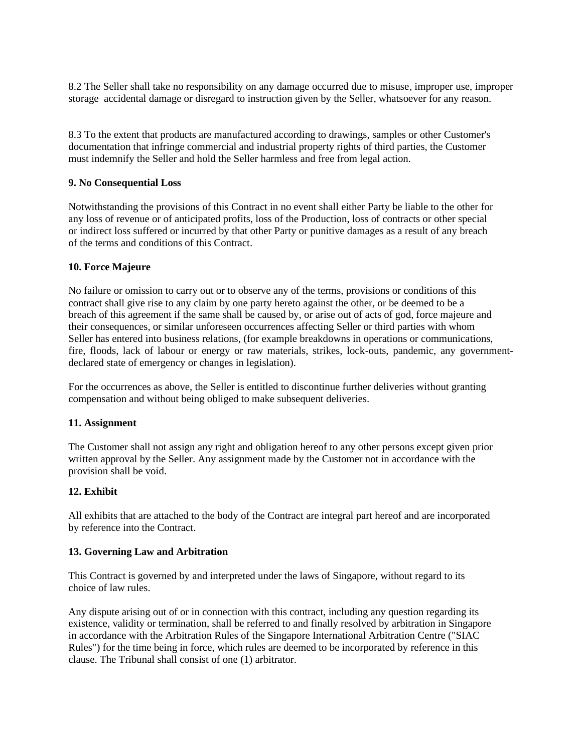8.2 The Seller shall take no responsibility on any damage occurred due to misuse, improper use, improper storage accidental damage or disregard to instruction given by the Seller, whatsoever for any reason.

8.3 To the extent that products are manufactured according to drawings, samples or other Customer's documentation that infringe commercial and industrial property rights of third parties, the Customer must indemnify the Seller and hold the Seller harmless and free from legal action.

### **9. No Consequential Loss**

Notwithstanding the provisions of this Contract in no event shall either Party be liable to the other for any loss of revenue or of anticipated profits, loss of the Production, loss of contracts or other special or indirect loss suffered or incurred by that other Party or punitive damages as a result of any breach of the terms and conditions of this Contract.

### **10. Force Majeure**

No failure or omission to carry out or to observe any of the terms, provisions or conditions of this contract shall give rise to any claim by one party hereto against the other, or be deemed to be a breach of this agreement if the same shall be caused by, or arise out of acts of god, force majeure and their consequences, or similar unforeseen occurrences affecting Seller or third parties with whom Seller has entered into business relations, (for example breakdowns in operations or communications, fire, floods, lack of labour or energy or raw materials, strikes, lock-outs, pandemic, any governmentdeclared state of emergency or changes in legislation).

For the occurrences as above, the Seller is entitled to discontinue further deliveries without granting compensation and without being obliged to make subsequent deliveries.

### **11. Assignment**

The Customer shall not assign any right and obligation hereof to any other persons except given prior written approval by the Seller. Any assignment made by the Customer not in accordance with the provision shall be void.

# **12. Exhibit**

All exhibits that are attached to the body of the Contract are integral part hereof and are incorporated by reference into the Contract.

### **13. Governing Law and Arbitration**

This Contract is governed by and interpreted under the laws of Singapore, without regard to its choice of law rules.

Any dispute arising out of or in connection with this contract, including any question regarding its existence, validity or termination, shall be referred to and finally resolved by arbitration in Singapore in accordance with the Arbitration Rules of the Singapore International Arbitration Centre ("SIAC Rules") for the time being in force, which rules are deemed to be incorporated by reference in this clause. The Tribunal shall consist of one (1) arbitrator.